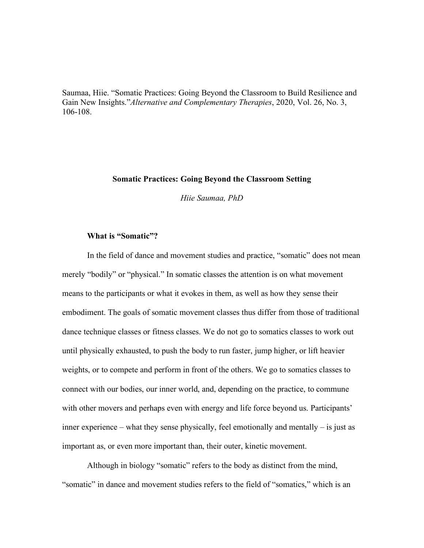Saumaa, Hiie. "Somatic Practices: Going Beyond the Classroom to Build Resilience and Gain New Insights."*Alternative and Complementary Therapies*, 2020, Vol. 26, No. 3, 106-108.

# **Somatic Practices: Going Beyond the Classroom Setting**

*Hiie Saumaa, PhD*

## **What is "Somatic"?**

In the field of dance and movement studies and practice, "somatic" does not mean merely "bodily" or "physical." In somatic classes the attention is on what movement means to the participants or what it evokes in them, as well as how they sense their embodiment. The goals of somatic movement classes thus differ from those of traditional dance technique classes or fitness classes. We do not go to somatics classes to work out until physically exhausted, to push the body to run faster, jump higher, or lift heavier weights, or to compete and perform in front of the others. We go to somatics classes to connect with our bodies, our inner world, and, depending on the practice, to commune with other movers and perhaps even with energy and life force beyond us. Participants' inner experience – what they sense physically, feel emotionally and mentally – is just as important as, or even more important than, their outer, kinetic movement.

Although in biology "somatic" refers to the body as distinct from the mind, "somatic" in dance and movement studies refers to the field of "somatics," which is an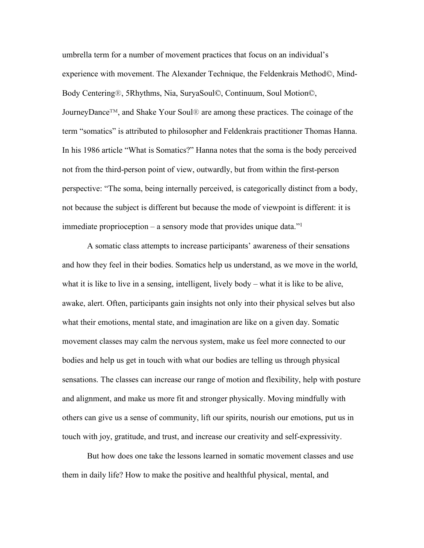umbrella term for a number of movement practices that focus on an individual's experience with movement. The Alexander Technique, the Feldenkrais Method©, Mind-Body Centering®, 5Rhythms, Nia, SuryaSoul©, Continuum, Soul Motion©, JourneyDance™, and Shake Your Soul® are among these practices. The coinage of the term "somatics" is attributed to philosopher and Feldenkrais practitioner Thomas Hanna. In his 1986 article "What is Somatics?" Hanna notes that the soma is the body perceived not from the third-person point of view, outwardly, but from within the first-person perspective: "The soma, being internally perceived, is categorically distinct from a body, not because the subject is different but because the mode of viewpoint is different: it is immediate proprioception – a sensory mode that provides unique data."1

A somatic class attempts to increase participants' awareness of their sensations and how they feel in their bodies. Somatics help us understand, as we move in the world, what it is like to live in a sensing, intelligent, lively body – what it is like to be alive, awake, alert. Often, participants gain insights not only into their physical selves but also what their emotions, mental state, and imagination are like on a given day. Somatic movement classes may calm the nervous system, make us feel more connected to our bodies and help us get in touch with what our bodies are telling us through physical sensations. The classes can increase our range of motion and flexibility, help with posture and alignment, and make us more fit and stronger physically. Moving mindfully with others can give us a sense of community, lift our spirits, nourish our emotions, put us in touch with joy, gratitude, and trust, and increase our creativity and self-expressivity.

But how does one take the lessons learned in somatic movement classes and use them in daily life? How to make the positive and healthful physical, mental, and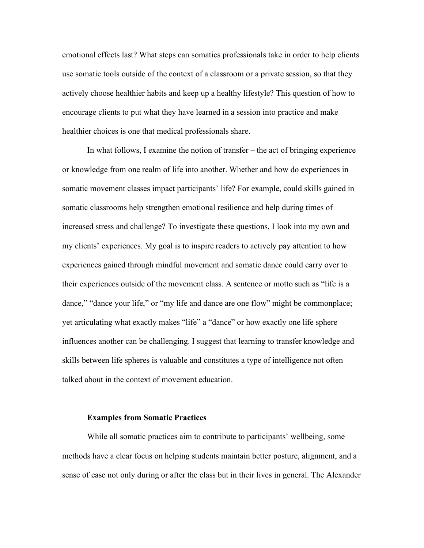emotional effects last? What steps can somatics professionals take in order to help clients use somatic tools outside of the context of a classroom or a private session, so that they actively choose healthier habits and keep up a healthy lifestyle? This question of how to encourage clients to put what they have learned in a session into practice and make healthier choices is one that medical professionals share.

In what follows, I examine the notion of transfer – the act of bringing experience or knowledge from one realm of life into another. Whether and how do experiences in somatic movement classes impact participants' life? For example, could skills gained in somatic classrooms help strengthen emotional resilience and help during times of increased stress and challenge? To investigate these questions, I look into my own and my clients' experiences. My goal is to inspire readers to actively pay attention to how experiences gained through mindful movement and somatic dance could carry over to their experiences outside of the movement class. A sentence or motto such as "life is a dance," "dance your life," or "my life and dance are one flow" might be commonplace; yet articulating what exactly makes "life" a "dance" or how exactly one life sphere influences another can be challenging. I suggest that learning to transfer knowledge and skills between life spheres is valuable and constitutes a type of intelligence not often talked about in the context of movement education.

### **Examples from Somatic Practices**

While all somatic practices aim to contribute to participants' wellbeing, some methods have a clear focus on helping students maintain better posture, alignment, and a sense of ease not only during or after the class but in their lives in general. The Alexander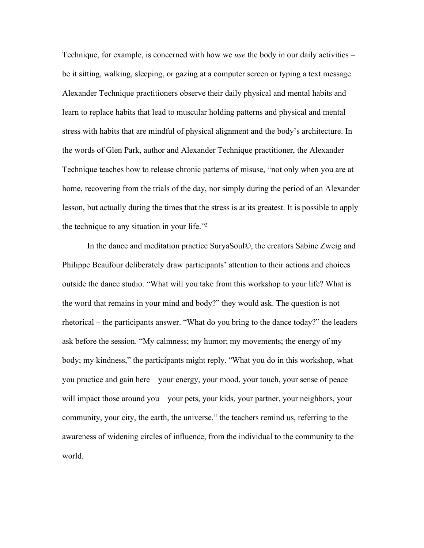Technique, for example, is concerned with how we *use* the body in our daily activities – be it sitting, walking, sleeping, or gazing at a computer screen or typing a text message. Alexander Technique practitioners observe their daily physical and mental habits and learn to replace habits that lead to muscular holding patterns and physical and mental stress with habits that are mindful of physical alignment and the body's architecture. In the words of Glen Park, author and Alexander Technique practitioner, the Alexander Technique teaches how to release chronic patterns of misuse, "not only when you are at home, recovering from the trials of the day, nor simply during the period of an Alexander lesson, but actually during the times that the stress is at its greatest. It is possible to apply the technique to any situation in your life."2

In the dance and meditation practice SuryaSoul©, the creators Sabine Zweig and Philippe Beaufour deliberately draw participants' attention to their actions and choices outside the dance studio. "What will you take from this workshop to your life? What is the word that remains in your mind and body?" they would ask. The question is not rhetorical – the participants answer. "What do you bring to the dance today?" the leaders ask before the session. "My calmness; my humor; my movements; the energy of my body; my kindness," the participants might reply. "What you do in this workshop, what you practice and gain here – your energy, your mood, your touch, your sense of peace – will impact those around you – your pets, your kids, your partner, your neighbors, your community, your city, the earth, the universe," the teachers remind us, referring to the awareness of widening circles of influence, from the individual to the community to the world.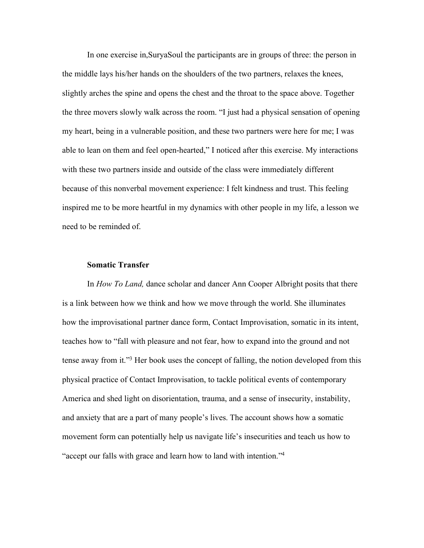In one exercise in,SuryaSoul the participants are in groups of three: the person in the middle lays his/her hands on the shoulders of the two partners, relaxes the knees, slightly arches the spine and opens the chest and the throat to the space above. Together the three movers slowly walk across the room. "I just had a physical sensation of opening my heart, being in a vulnerable position, and these two partners were here for me; I was able to lean on them and feel open-hearted," I noticed after this exercise. My interactions with these two partners inside and outside of the class were immediately different because of this nonverbal movement experience: I felt kindness and trust. This feeling inspired me to be more heartful in my dynamics with other people in my life, a lesson we need to be reminded of.

## **Somatic Transfer**

In *How To Land,* dance scholar and dancer Ann Cooper Albright posits that there is a link between how we think and how we move through the world. She illuminates how the improvisational partner dance form, Contact Improvisation, somatic in its intent, teaches how to "fall with pleasure and not fear, how to expand into the ground and not tense away from it."3 Her book uses the concept of falling, the notion developed from this physical practice of Contact Improvisation, to tackle political events of contemporary America and shed light on disorientation, trauma, and a sense of insecurity, instability, and anxiety that are a part of many people's lives. The account shows how a somatic movement form can potentially help us navigate life's insecurities and teach us how to "accept our falls with grace and learn how to land with intention."4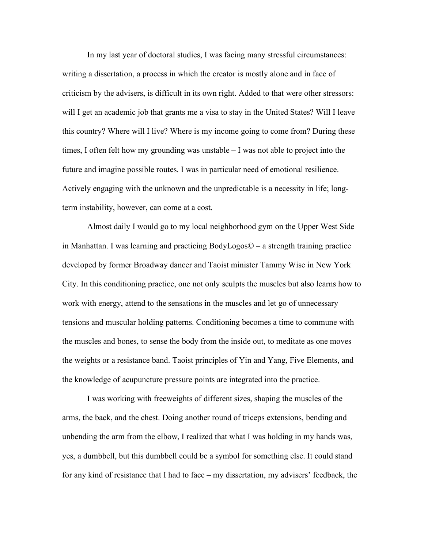In my last year of doctoral studies, I was facing many stressful circumstances: writing a dissertation, a process in which the creator is mostly alone and in face of criticism by the advisers, is difficult in its own right. Added to that were other stressors: will I get an academic job that grants me a visa to stay in the United States? Will I leave this country? Where will I live? Where is my income going to come from? During these times, I often felt how my grounding was unstable – I was not able to project into the future and imagine possible routes. I was in particular need of emotional resilience. Actively engaging with the unknown and the unpredictable is a necessity in life; longterm instability, however, can come at a cost.

Almost daily I would go to my local neighborhood gym on the Upper West Side in Manhattan. I was learning and practicing BodyLogos© – a strength training practice developed by former Broadway dancer and Taoist minister Tammy Wise in New York City. In this conditioning practice, one not only sculpts the muscles but also learns how to work with energy, attend to the sensations in the muscles and let go of unnecessary tensions and muscular holding patterns. Conditioning becomes a time to commune with the muscles and bones, to sense the body from the inside out, to meditate as one moves the weights or a resistance band. Taoist principles of Yin and Yang, Five Elements, and the knowledge of acupuncture pressure points are integrated into the practice.

I was working with freeweights of different sizes, shaping the muscles of the arms, the back, and the chest. Doing another round of triceps extensions, bending and unbending the arm from the elbow, I realized that what I was holding in my hands was, yes, a dumbbell, but this dumbbell could be a symbol for something else. It could stand for any kind of resistance that I had to face – my dissertation, my advisers' feedback, the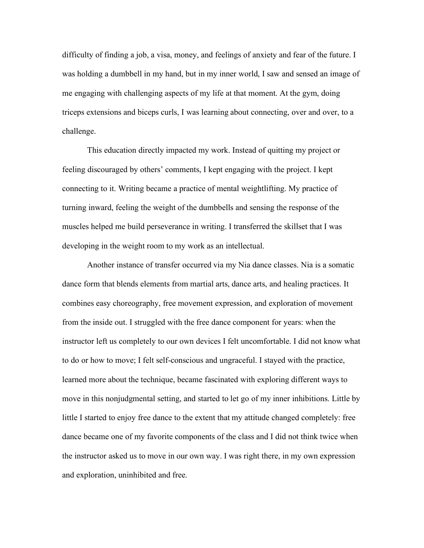difficulty of finding a job, a visa, money, and feelings of anxiety and fear of the future. I was holding a dumbbell in my hand, but in my inner world, I saw and sensed an image of me engaging with challenging aspects of my life at that moment. At the gym, doing triceps extensions and biceps curls, I was learning about connecting, over and over, to a challenge.

This education directly impacted my work. Instead of quitting my project or feeling discouraged by others' comments, I kept engaging with the project. I kept connecting to it. Writing became a practice of mental weightlifting. My practice of turning inward, feeling the weight of the dumbbells and sensing the response of the muscles helped me build perseverance in writing. I transferred the skillset that I was developing in the weight room to my work as an intellectual.

Another instance of transfer occurred via my Nia dance classes. Nia is a somatic dance form that blends elements from martial arts, dance arts, and healing practices. It combines easy choreography, free movement expression, and exploration of movement from the inside out. I struggled with the free dance component for years: when the instructor left us completely to our own devices I felt uncomfortable. I did not know what to do or how to move; I felt self-conscious and ungraceful. I stayed with the practice, learned more about the technique, became fascinated with exploring different ways to move in this nonjudgmental setting, and started to let go of my inner inhibitions. Little by little I started to enjoy free dance to the extent that my attitude changed completely: free dance became one of my favorite components of the class and I did not think twice when the instructor asked us to move in our own way. I was right there, in my own expression and exploration, uninhibited and free.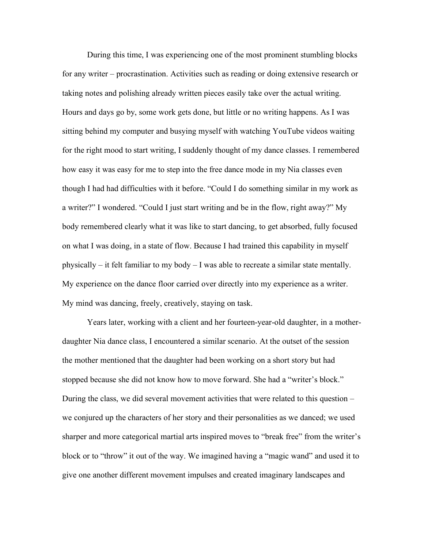During this time, I was experiencing one of the most prominent stumbling blocks for any writer – procrastination. Activities such as reading or doing extensive research or taking notes and polishing already written pieces easily take over the actual writing. Hours and days go by, some work gets done, but little or no writing happens. As I was sitting behind my computer and busying myself with watching YouTube videos waiting for the right mood to start writing, I suddenly thought of my dance classes. I remembered how easy it was easy for me to step into the free dance mode in my Nia classes even though I had had difficulties with it before. "Could I do something similar in my work as a writer?" I wondered. "Could I just start writing and be in the flow, right away?" My body remembered clearly what it was like to start dancing, to get absorbed, fully focused on what I was doing, in a state of flow. Because I had trained this capability in myself physically – it felt familiar to my body – I was able to recreate a similar state mentally. My experience on the dance floor carried over directly into my experience as a writer. My mind was dancing, freely, creatively, staying on task.

Years later, working with a client and her fourteen-year-old daughter, in a motherdaughter Nia dance class, I encountered a similar scenario. At the outset of the session the mother mentioned that the daughter had been working on a short story but had stopped because she did not know how to move forward. She had a "writer's block." During the class, we did several movement activities that were related to this question – we conjured up the characters of her story and their personalities as we danced; we used sharper and more categorical martial arts inspired moves to "break free" from the writer's block or to "throw" it out of the way. We imagined having a "magic wand" and used it to give one another different movement impulses and created imaginary landscapes and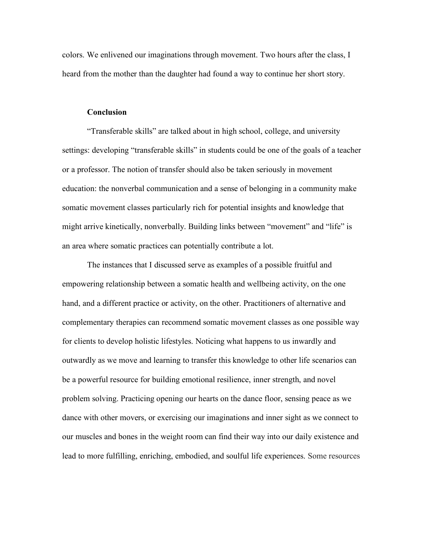colors. We enlivened our imaginations through movement. Two hours after the class, I heard from the mother than the daughter had found a way to continue her short story.

## **Conclusion**

"Transferable skills" are talked about in high school, college, and university settings: developing "transferable skills" in students could be one of the goals of a teacher or a professor. The notion of transfer should also be taken seriously in movement education: the nonverbal communication and a sense of belonging in a community make somatic movement classes particularly rich for potential insights and knowledge that might arrive kinetically, nonverbally. Building links between "movement" and "life" is an area where somatic practices can potentially contribute a lot.

The instances that I discussed serve as examples of a possible fruitful and empowering relationship between a somatic health and wellbeing activity, on the one hand, and a different practice or activity, on the other. Practitioners of alternative and complementary therapies can recommend somatic movement classes as one possible way for clients to develop holistic lifestyles. Noticing what happens to us inwardly and outwardly as we move and learning to transfer this knowledge to other life scenarios can be a powerful resource for building emotional resilience, inner strength, and novel problem solving. Practicing opening our hearts on the dance floor, sensing peace as we dance with other movers, or exercising our imaginations and inner sight as we connect to our muscles and bones in the weight room can find their way into our daily existence and lead to more fulfilling, enriching, embodied, and soulful life experiences. Some resources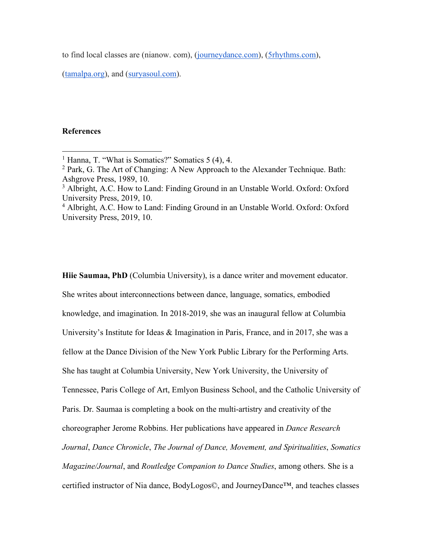to find local classes are (nianow. com), (journeydance.com), (5rhythms.com),

(tamalpa.org), and (suryasoul.com).

 

### **References**

**Hiie Saumaa, PhD** (Columbia University), is a dance writer and movement educator. She writes about interconnections between dance, language, somatics, embodied knowledge, and imagination. In 2018-2019, she was an inaugural fellow at Columbia University's Institute for Ideas & Imagination in Paris, France, and in 2017, she was a fellow at the Dance Division of the New York Public Library for the Performing Arts. She has taught at Columbia University, New York University, the University of Tennessee, Paris College of Art, Emlyon Business School, and the Catholic University of Paris. Dr. Saumaa is completing a book on the multi-artistry and creativity of the choreographer Jerome Robbins. Her publications have appeared in *Dance Research Journal*, *Dance Chronicle*, *The Journal of Dance, Movement, and Spiritualities*, *Somatics Magazine/Journal*, and *Routledge Companion to Dance Studies*, among others. She is a certified instructor of Nia dance, BodyLogos©, and JourneyDance™, and teaches classes

<sup>&</sup>lt;sup>1</sup> Hanna, T. "What is Somatics?" Somatics 5 (4), 4.

<sup>2</sup> Park, G. The Art of Changing: A New Approach to the Alexander Technique. Bath: Ashgrove Press, 1989, 10.

<sup>&</sup>lt;sup>3</sup> Albright, A.C. How to Land: Finding Ground in an Unstable World. Oxford: Oxford University Press, 2019, 10.

<sup>4</sup> Albright, A.C. How to Land: Finding Ground in an Unstable World. Oxford: Oxford University Press, 2019, 10.